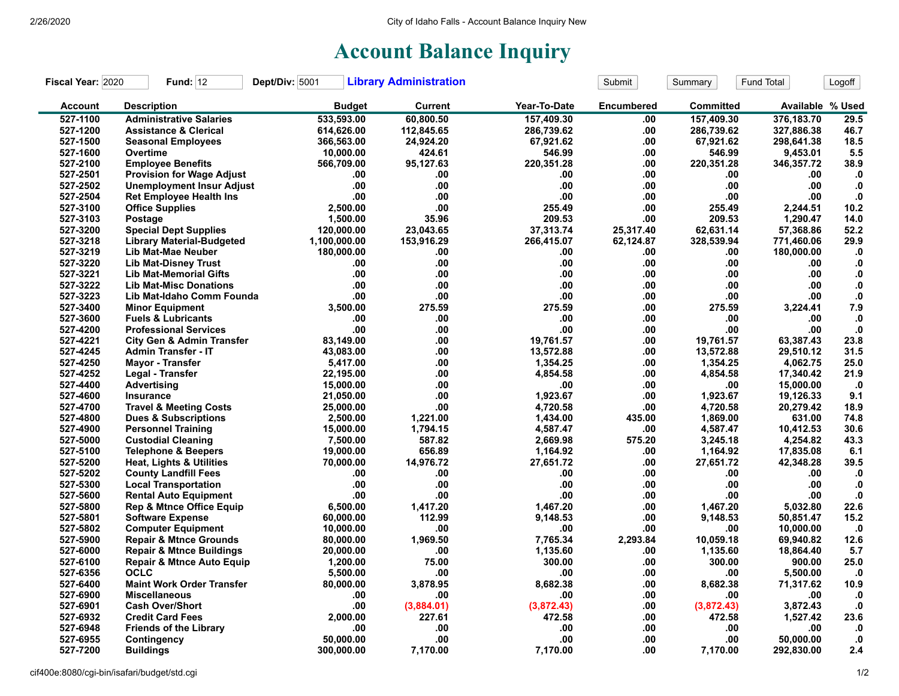## **Account Balance Inquiry**

| Fiscal Year: 2020 | <b>Fund: 12</b>                      | Dept/Div: 5001 | <b>Library Administration</b> |              | Submit            | Summary    | Fund Total       | Logoff       |
|-------------------|--------------------------------------|----------------|-------------------------------|--------------|-------------------|------------|------------------|--------------|
| <b>Account</b>    | <b>Description</b>                   | <b>Budget</b>  | <b>Current</b>                | Year-To-Date | <b>Encumbered</b> | Committed  | Available % Used |              |
| 527-1100          | <b>Administrative Salaries</b>       | 533,593.00     | 60,800.50                     | 157,409.30   | .00               | 157,409.30 | 376,183.70       | 29.5         |
| 527-1200          | <b>Assistance &amp; Clerical</b>     | 614,626.00     | 112,845.65                    | 286,739.62   | .00.              | 286,739.62 | 327,886.38       | 46.7         |
| 527-1500          | <b>Seasonal Employees</b>            | 366,563.00     | 24,924.20                     | 67,921.62    | .00               | 67,921.62  | 298,641.38       | 18.5         |
| 527-1600          | Overtime                             | 10,000.00      | 424.61                        | 546.99       | .00               | 546.99     | 9,453.01         | 5.5          |
| 527-2100          | <b>Employee Benefits</b>             | 566,709.00     | 95,127.63                     | 220,351.28   | .00               | 220,351.28 | 346,357.72       | 38.9         |
| 527-2501          | <b>Provision for Wage Adjust</b>     | .00            | .00                           | .00          | .00               | .00        | .00              | $\cdot$      |
| 527-2502          | <b>Unemployment Insur Adjust</b>     | .00            | .00                           | .00.         | .00               | .00        | .00              | $\cdot$      |
| 527-2504          | <b>Ret Employee Health Ins</b>       | .00            | .00                           | .00.         | .00               | .00        | .00              | ${\bf .0}$   |
| 527-3100          | <b>Office Supplies</b>               | 2,500.00       | .00                           | 255.49       | .00               | 255.49     | 2,244.51         | 10.2         |
| 527-3103          | Postage                              | 1,500.00       | 35.96                         | 209.53       | .00               | 209.53     | 1,290.47         | 14.0         |
| 527-3200          | <b>Special Dept Supplies</b>         | 120,000.00     | 23,043.65                     | 37,313.74    | 25,317.40         | 62,631.14  | 57,368.86        | 52.2         |
| 527-3218          | <b>Library Material-Budgeted</b>     | 1,100,000.00   | 153,916.29                    | 266,415.07   | 62,124.87         | 328,539.94 | 771,460.06       | 29.9         |
| 527-3219          | Lib Mat-Mae Neuber                   | 180,000.00     | .00                           | .00          | .00               | .00        | 180,000.00       | $\mathbf{0}$ |
| 527-3220          | <b>Lib Mat-Disney Trust</b>          | .00            | .00                           | .00          | .00               | .00        | .00              | ${\bf .0}$   |
| 527-3221          | <b>Lib Mat-Memorial Gifts</b>        | .00            | .00                           | .00          | .00               | .00        | .00              | ${\bf .0}$   |
| 527-3222          | <b>Lib Mat-Misc Donations</b>        | .00            | .00                           | .00.         | .00               | .00        | .00              | $\cdot$      |
| 527-3223          | Lib Mat-Idaho Comm Founda            | .00            | .00                           | .00          | .00               | .00        | .00.             | ${\bf .0}$   |
| 527-3400          | <b>Minor Equipment</b>               | 3,500.00       | 275.59                        | 275.59       | .00               | 275.59     | 3,224.41         | 7.9          |
| 527-3600          | <b>Fuels &amp; Lubricants</b>        | .00            | .00                           | .00          | .00               | .00        | .00              | $\cdot$ 0    |
| 527-4200          | <b>Professional Services</b>         | .00            | .00                           | .00          | .00               | .00        | .00              | $\mathbf{0}$ |
| 527-4221          | <b>City Gen &amp; Admin Transfer</b> | 83,149.00      | .00                           | 19,761.57    | .00               | 19,761.57  | 63,387.43        | 23.8         |
| 527-4245          | <b>Admin Transfer - IT</b>           | 43,083.00      | .00                           | 13,572.88    | .00               | 13,572.88  | 29,510.12        | 31.5         |
| 527-4250          | <b>Mayor - Transfer</b>              | 5,417.00       | .00                           | 1,354.25     | .00               | 1,354.25   | 4,062.75         | 25.0         |
| 527-4252          | Legal - Transfer                     | 22,195.00      | .00                           | 4,854.58     | .00               | 4,854.58   | 17,340.42        | 21.9         |
| 527-4400          | <b>Advertising</b>                   | 15,000.00      | .00                           | .00          | .00               | .00        | 15,000.00        | $\cdot$ 0    |
| 527-4600          | <b>Insurance</b>                     | 21,050.00      | .00                           | 1,923.67     | .00               | 1,923.67   | 19,126.33        | 9.1          |
| 527-4700          | <b>Travel &amp; Meeting Costs</b>    | 25,000.00      | .00                           | 4,720.58     | .00               | 4,720.58   | 20,279.42        | 18.9         |
| 527-4800          | <b>Dues &amp; Subscriptions</b>      | 2,500.00       | 1,221.00                      | 1,434.00     | 435.00            | 1,869.00   | 631.00           | 74.8         |
| 527-4900          | <b>Personnel Training</b>            | 15,000.00      | 1,794.15                      | 4,587.47     | .00               | 4,587.47   | 10,412.53        | 30.6         |
| 527-5000          | <b>Custodial Cleaning</b>            | 7,500.00       | 587.82                        | 2,669.98     | 575.20            | 3,245.18   | 4,254.82         | 43.3         |
| 527-5100          | <b>Telephone &amp; Beepers</b>       | 19,000.00      | 656.89                        | 1,164.92     | .00               | 1,164.92   | 17,835.08        | 6.1          |
| 527-5200          | <b>Heat, Lights &amp; Utilities</b>  | 70,000.00      | 14,976.72                     | 27,651.72    | .00               | 27,651.72  | 42,348.28        | 39.5         |
| 527-5202          | <b>County Landfill Fees</b>          | .00            | .00                           | .00          | .00               | .00.       | .00              | .0           |
| 527-5300          | <b>Local Transportation</b>          | .00            | .00                           | .00          | .00               | .00        | .00              | ${\bf .0}$   |
| 527-5600          | <b>Rental Auto Equipment</b>         | .00            | .00                           | .00          | .00               | .00        | .00              | $\cdot$      |
| 527-5800          | <b>Rep &amp; Mtnce Office Equip</b>  | 6,500.00       | 1,417.20                      | 1,467.20     | .00               | 1,467.20   | 5,032.80         | 22.6         |
| 527-5801          | <b>Software Expense</b>              | 60,000.00      | 112.99                        | 9,148.53     | .00               | 9,148.53   | 50,851.47        | 15.2         |
| 527-5802          | <b>Computer Equipment</b>            | 10,000.00      | .00                           | .00          | .00               | .00        | 10,000.00        | $\cdot$ 0    |
| 527-5900          | <b>Repair &amp; Mtnce Grounds</b>    | 80,000.00      | 1,969.50                      | 7.765.34     | 2,293.84          | 10,059.18  | 69.940.82        | 12.6         |
| 527-6000          | <b>Repair &amp; Mtnce Buildings</b>  | 20,000.00      | .00                           | 1,135.60     | .00               | 1,135.60   | 18,864.40        | 5.7          |
| 527-6100          | <b>Repair &amp; Mtnce Auto Equip</b> | 1,200.00       | 75.00                         | 300.00       | .00               | 300.00     | 900.00           | 25.0         |
| 527-6356          | <b>OCLC</b>                          | 5,500.00       | .00                           | .00          | .00               | .00        | 5,500.00         | $\cdot$ 0    |
| 527-6400          | <b>Maint Work Order Transfer</b>     | 80,000.00      | 3,878.95                      | 8,682.38     | .00               | 8,682.38   | 71,317.62        | 10.9         |
| 527-6900          | <b>Miscellaneous</b>                 | .00            | .00                           | .00          | .00               | .00        | .00              | $\cdot$      |
| 527-6901          | <b>Cash Over/Short</b>               | .00            | (3,884.01)                    | (3,872.43)   | .00               | (3,872.43) | 3,872.43         | $\cdot$ 0    |
| 527-6932          | <b>Credit Card Fees</b>              | 2,000.00       | 227.61                        | 472.58       | .00               | 472.58     | 1,527.42         | 23.6         |
| 527-6948          | <b>Friends of the Library</b>        | .00            | .00                           | .00          | .00               | .00        | .00              | $\cdot$      |
| 527-6955          | Contingency                          | 50.000.00      | .00                           | .00          | .00               | .00        | 50.000.00        | $\mathbf{0}$ |
| 527-7200          | <b>Buildings</b>                     | 300,000.00     | 7,170.00                      | 7,170.00     | .00               | 7,170.00   | 292,830.00       | 2.4          |